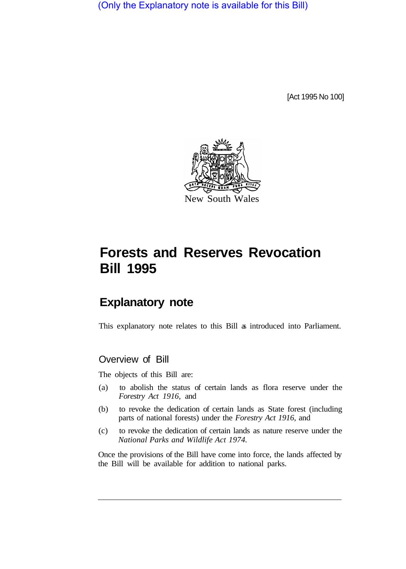(Only the Explanatory note is available for this Bill)

[Act 1995 No 100]



# **Forests and Reserves Revocation Bill 1995**

## **Explanatory note**

This explanatory note relates to this Bill as introduced into Parliament.

## Overview of Bill

The objects of this Bill are:

- (a) to abolish the status of certain lands as flora reserve under the *Forestry Act 1916,* and
- (b) to revoke the dedication of certain lands as State forest (including parts of national forests) under the *Forestry Act 1916,* and
- (c) to revoke the dedication of certain lands as nature reserve under the *National Parks and Wildlife Act 1974.*

Once the provisions of the Bill have come into force, the lands affected by the Bill will be available for addition to national parks.